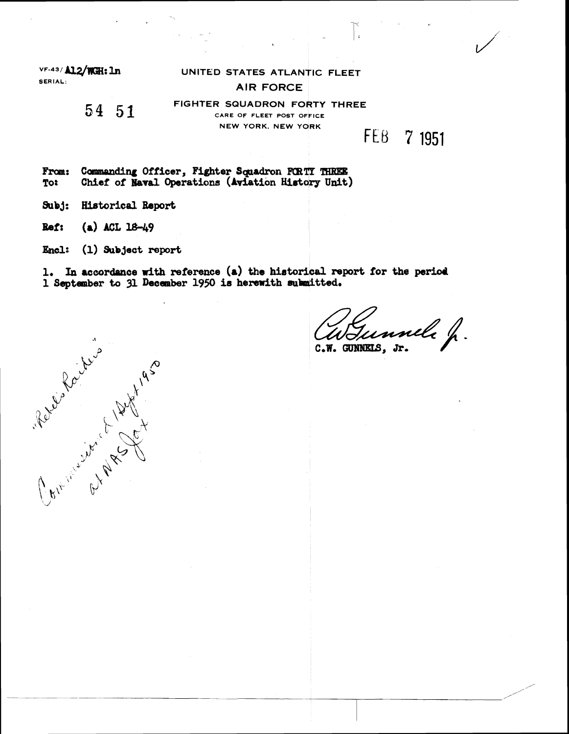VF-43/A12/WGH: 1n SERIAL:

## UNITED STATES ATLANTIC FLEET **AIR FORCE**

54 51

FIGHTER SQUADRON FORTY THREE CARE OF FLEET POST OFFICE **NEW YORK, NEW YORK** 

FF<sub>B</sub> 7 1951

Commanding Officer, Fighter Squadron FORTI THREE From: Chief of Naval Operations (Aviation History Unit) Tot

Subj: **Historical Report** 

Ref:  $(a)$  ACL 18-49

Encl: (1) Subject report

1. In accordance with reference (a) the historical report for the period 1 September to 31 December 1950 is herewith submitted.

unele h. C.W. GUNNELS, Jr.

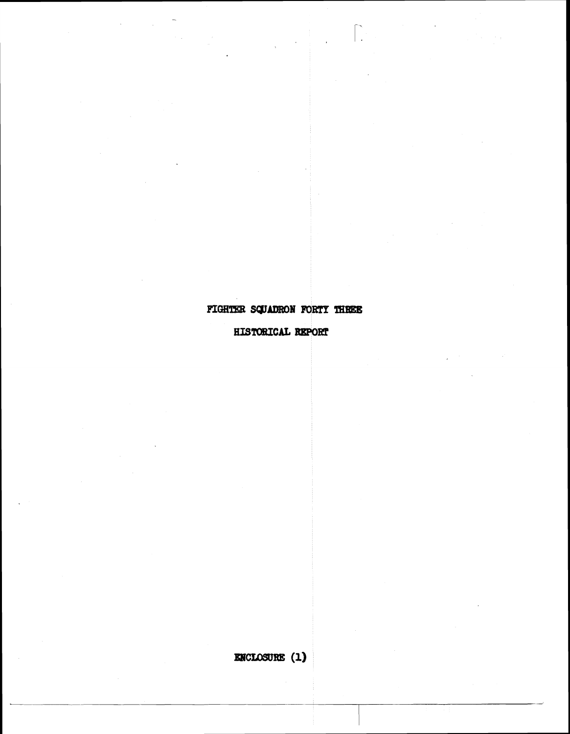# FIGHTER SQUADRON FORTY THREE

 $\overline{\phantom{a}}$ 

 $\label{eq:2} \frac{1}{\sqrt{2}}\int_{0}^{\pi} \frac{1}{\sqrt{2\pi}}\left(\frac{1}{\sqrt{2\pi}}\right)^{2}dx$ 

HISTORICAL REPORT

ENCLOSURE (1)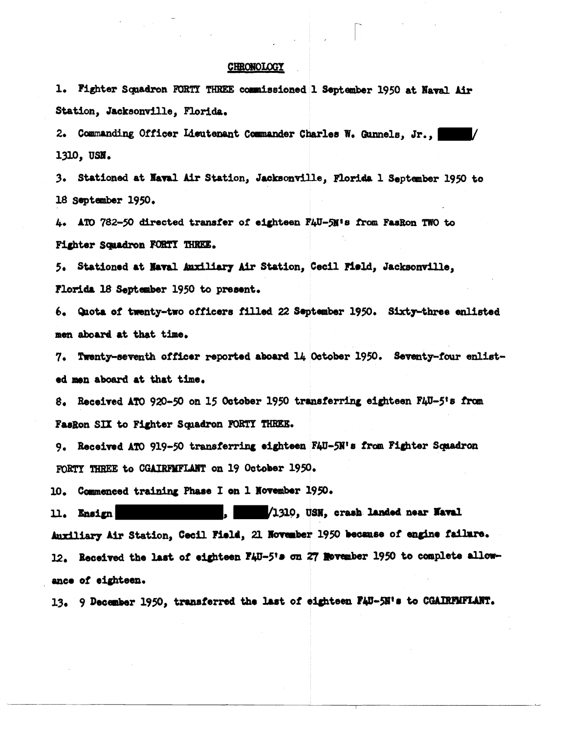### CHRONOLOGY

1. Fighter Squadron FORTY THREE commissioned 1 September 1950 at Naval Air Station, Jacksonville, Florida.

2. Commanding Officer Lieutenant Commander Charles W. Gunnels, Jr., 1310, USN.

3. Stationed at Naval Air Station, Jacksonville, Florida 1 September 1950 to 18 September 1950.

4. ATO 782-50 directed transfer of eighteen F4U-5N's from FasRon TWO to Fighter Squadron FORTY THREE.

5. Stationed at Naval Auxiliary Air Station, Cecil Field, Jacksonville, Florida 18 September 1950 to present.

6. Quota of twenty-two officers filled 22 September 1950. Sixty-three enlisted men aboard at that time.

7. Twenty-seventh officer reported aboard 14 October 1950. Seventy-four enlisted men aboard at that time.

8. Received ATO 920-50 on 15 October 1950 transferring eighteen F4U-5's from FasRon SIX to Fighter Squadron FORTY THREE.

9. Received ATO 919-50 transferring eighteen F4U-5N's from Fighter Squadron FORTY THREE to CGAIRFMFLANT on 19 October 1950.

10. Commenced training Phase I on 1 November 1950.

/1310, USN, crash landed near Naval 11. Ensign Auxiliary Air Station, Cecil Field, 21 November 1950 because of engine failure. 12. Received the last of eighteen F4U-5's on 27 November 1950 to complete allowance of eighteen.

13. 9 December 1950, transferred the last of eighteen F4U-5N's to CGAIRFMFIANT.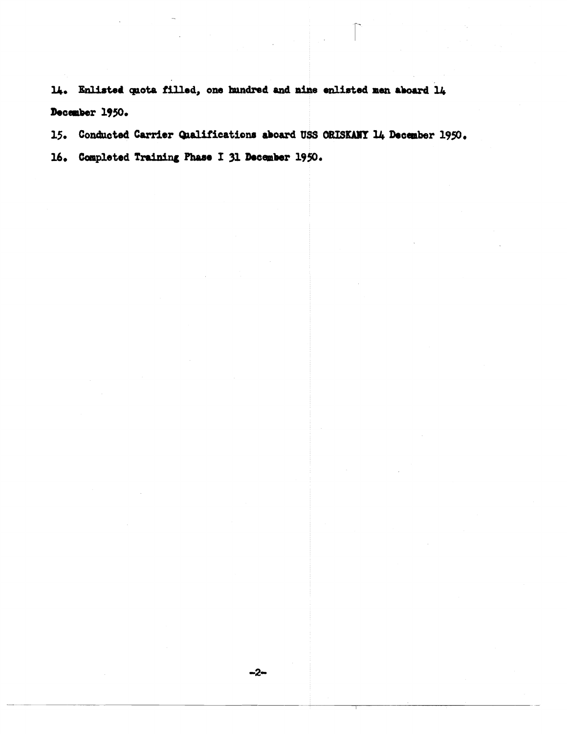14. Enlisted quota filled, one hundred and nine enlisted men aboard 14 December 1950.

15. Conducted Carrier Qualifications aboard USS ORISKANY 14 December 1950.

 $-2-$ 

16. Completed Training Phase I 31 December 1950.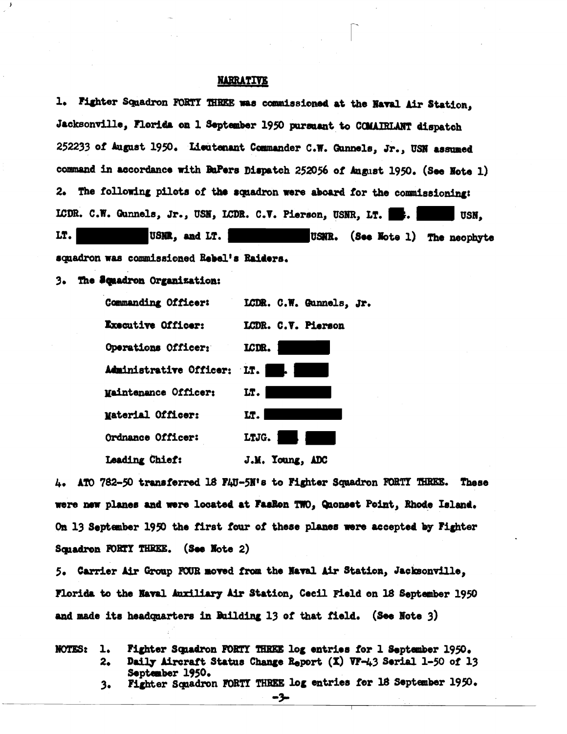#### **NARRATIVE**

1. Fighter Squadron FORTY THREE was commissioned at the Naval Air Station, Jacksonville, Florida on 1 September 1950 pursuant to COMAIRLANT dispatch 252233 of August 1950. Lieutenant Commander C.W. Gunnels, Jr., USN assumed command in accordance with BaPers Dispatch 252056 of August 1950. (See Note 1) 2. The following pilots of the squadron were aboard for the commissioning: LCDR. C.W. Gunnels, Jr., USN, LCDR. C.V. Pierson, USNR, LT. USN. USMR. and LT. LT. USNR. (See Note 1) The neophyte squadron was commissioned Rebel's Raiders.

3. The Squadron Organization:

## Commanding Officer: LCDR. C.W. Gunnels. Jr. **Executive Officer:** LCDR. C.V. Pierson Operations Officer: LCDR. Administrative Officer: LT. Maintenance Officer: LT. Material Officer: LT. Ordnance Officer: LTJG. Leading Chief: J.M. Young, ADC

4. ATO 782-50 transferred 18 F4U-5N's to Fighter Squadron FORTY THREE. **These** were new planes and were located at FasRon TWO, Quonset Point, Rhode Island. On 13 September 1950 the first four of these planes were accepted by Fighter Squadren FORTY THREE. (See Note 2)

5. Carrier Air Group FOUR moved from the Naval Air Station, Jacksonville. Florida to the Naval Auxiliary Air Station, Cecil Field on 18 September 1950 and made its headquarters in Building 13 of that field. (See Note 3)

- **NOTES:** Fighter Squadron FORTY THREE log entries for 1 September 1950.  $\mathbf{1}$ Daily Aircraft Status Change Report  $(X)$  VF-43 Serial 1-50 of 13 2. September 1950.
	- Fighter Squadron FORTI THREE log entries for 18 September 1950.  $3.$

-3-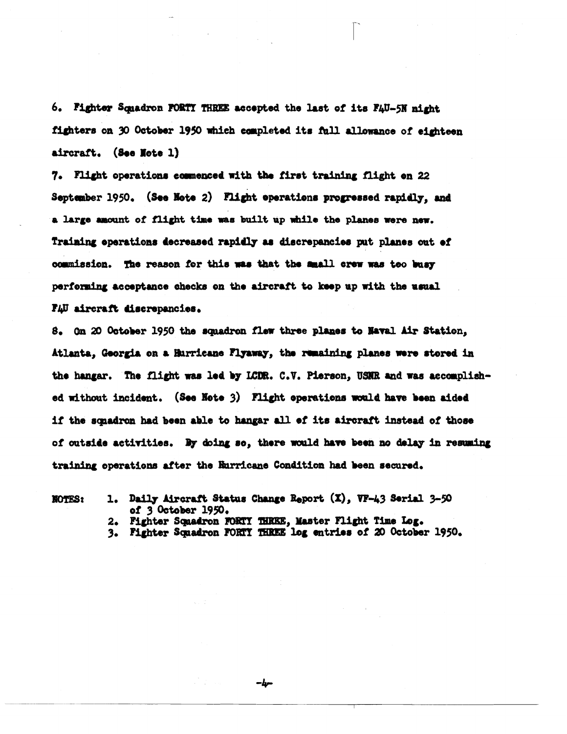6. Fighter Squadron FORTI THREE accepted the last of its F4U-5N night fighters on 30 October 1950 which completed its full allowance of eighteen aircraft. (See Note 1)

7. Flight operations commenced with the first training flight on 22 September 1950. (See Note 2) Flight operations progressed rapidly, and a large amount of flight time was built up while the planes were new. Training operations decreased rapidly as discrepancies put planes out of commission. The reason for this was that the small crew was teo busy performing acceptance checks on the aircraft to keep up with the usual TAU aircraft discrepancies.

8. On 20 October 1950 the squadron flew three planes to Naval Air Station. Atlanta. Georgia on a Hurricane Flyaway, the remaining planes were stored in the hangar. The flight was led by LCDR. C.V. Pierson, USNR and was accomplished without incident. (See Note 3) Flight operations would have been aided if the sonadron had been able to hangar all of its aircraft instead of those of outside activities. By doing so, there would have been no delay in resuming training operations after the Hurricane Condition had been secured.

**NOTES:** 

Daily Aircraft Status Change Report (X), VF-43 Serial 3-50 1. of 3 October 1950.

2. Fighter Squadron FORTY THREE, Master Flight Time Log.

 $-4-$ 

3. Fighter Squadron FORTY THREE log entries of 20 October 1950.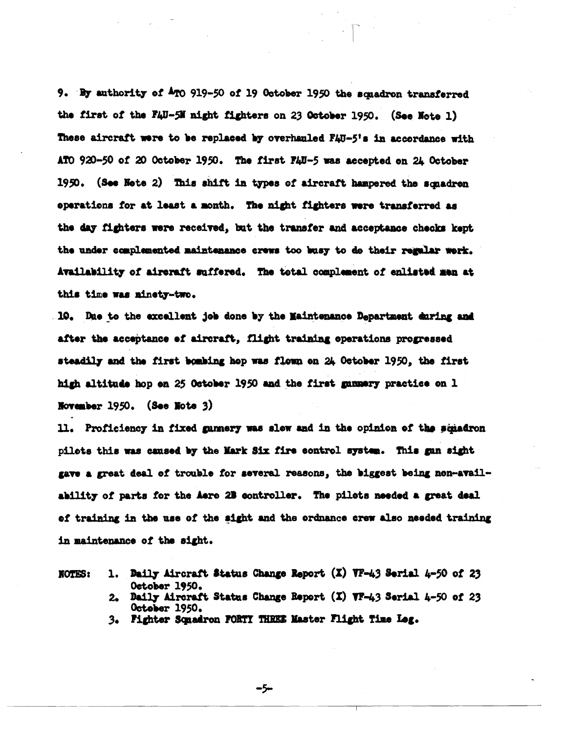9. By authority of ATO 919-50 of 19 October 1950 the squadron transferred the first of the F4U-5M night fighters on 23 October 1950. (See Mote 1) These aircraft were to be replaced by overhauled F4U-5's in accordance with ATO 920-50 of 20 October 1950. The first F4U-5 was accepted on 24 October 1950. (See Note 2) This shift in types of aircraft hampered the squadren operations for at least a month. The night fighters were transferred as the day fighters were received, but the transfer and acceptance checks kept the under complemented maintenance crews too busy to do their regular work. Availability of aircraft suffered. The total complement of enlisted men at this time was ninety-two.

10. Dae to the excellent job done by the Maintenance Department during and after the acceptance of aircraft, flight training operations progressed steadily and the first bombing hop was flown on 24 October 1950, the first high altitude hop on 25 October 1950 and the first gammery practice on 1 November 1950. (See Note 3)

11. Proficiency in fixed gamery was slew and in the opinion of the squadron pilots this was caused by the Mark Six fire control system. This gan sight gave a great deal of trouble for several reasons, the biggest being non-availability of parts for the Aero 2B controller. The pilots needed a great deal of training in the use of the sight and the ordnance crew also needed training in maintenance of the sight.

| notes: | 1. Daily Aircraft Status Change Report $(L)$ VF-43 Serial 4-50 of 23                              |  |  |  |  |  |
|--------|---------------------------------------------------------------------------------------------------|--|--|--|--|--|
|        | October 1950.<br>Baily Aircraft Status Change Report (I) VF-43 Serial 4-50 of 23<br>October 1950. |  |  |  |  |  |

3. Fighter Squadron FORTY THEEE Master Flight Time Log.

-5-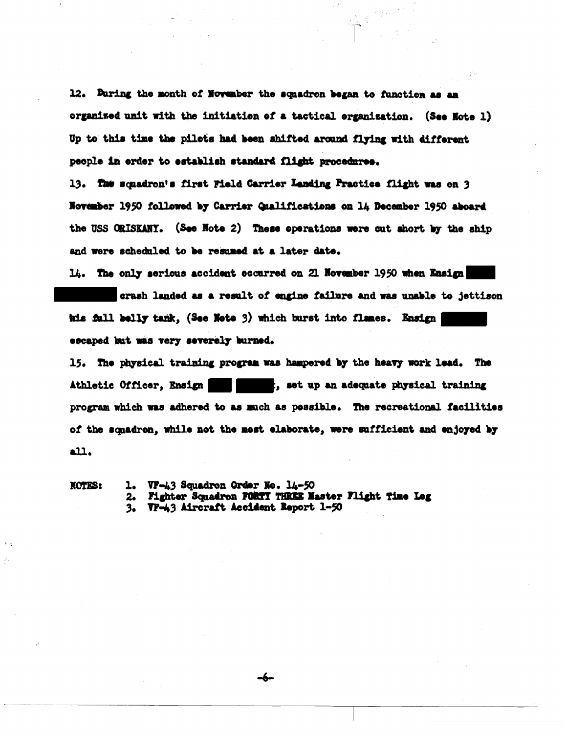12. During the month of Howmher the sonadron began to function as an organized unit with the initiation of a tactical organization. (See Note 1) Up to this time the pilots had been shifted around flying with different people in erder to establish standard flight procedures.

13. The squadron's first Field Carrier Landing Practice flight was on 3 November 1950 followed by Carrier Qualifications on 14 December 1950 aboard the USS ORISKANY. (See Note 2) These operations were cut short by the ship and were scheduled to be resumed at a later date.

14. The only serious accident eccurred on 21 November 1950 when Ensign

crash landed as a result of engine failure and was unable to jettison this fall belly tank. (See Note 3) which burst into flames. Easign escaped but was very severely burned.

15. The physical training program was hampered by the heavy work lead. The Athletic Officer, Ensign t, set up an adequate physical training program which was adhered to as much as pessible. The recreational facilities of the sonadron, while not the most elaborate, were sufficient and enjoyed by ملله

**NOTES:** 

1. VF-43 Squadron Order No. 14-50

2. Fighter Squadron FORTY THREE Master Flight Time Log

-6.

3. VP-43 Aircraft Accident Report 1-50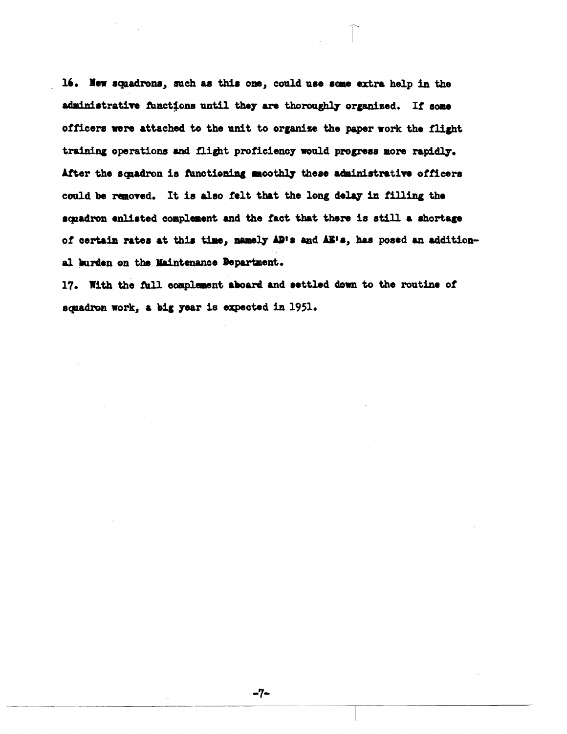16. New squadrens, such as this one, could use some extra help in the administrative functions until they are thoroughly organized. If some officers were attached to the unit to organize the paper work the flight training operations and flight proficiency would progress more rapidly. After the squadron is functioning moothly these administrative officers could be removed. It is also felt that the long delay in filling the squadron enlisted complement and the fact that there is still a shortage of certain rates at this time, namely AD's and AE's, has posed an additional burden on the Maintenance Department.

17. With the full complement aboard and settled down to the routine of squadron work, a big year is expected in 1951.

 $-7-$